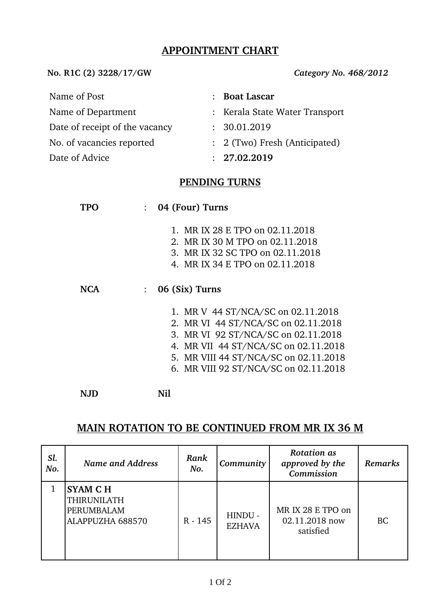## **APPOINTMENT CHART**

**No. R1C (2) 3228/17/GW** *Category No. 468/2012*

| Name of Post                   | : Boat Lascar                  |
|--------------------------------|--------------------------------|
| Name of Department             | : Kerala State Water Transport |
| Date of receipt of the vacancy | : 30.01.2019                   |
| No. of vacancies reported      | : 2 (Two) Fresh (Anticipated)  |
| Date of Advice                 | : 27.02.2019                   |

## **PENDING TURNS**

| TPO        | 04 (Four) Turns                                                                                                                                                                                                                            |
|------------|--------------------------------------------------------------------------------------------------------------------------------------------------------------------------------------------------------------------------------------------|
|            | 1. MR IX 28 E TPO on 02.11.2018<br>2. MR IX 30 M TPO on 02.11.2018<br>3. MR IX 32 SC TPO on 02.11.2018<br>4. MR IX 34 E TPO on 02.11.2018                                                                                                  |
| <b>NCA</b> | 06 (Six) Turns<br>$\ddot{\phantom{a}}$                                                                                                                                                                                                     |
|            | 1. MR V 44 ST/NCA/SC on 02.11.2018<br>2. MR VI 44 ST/NCA/SC on 02.11.2018<br>3. MR VI 92 ST/NCA/SC on 02.11.2018<br>4. MR VII 44 ST/NCA/SC on 02.11.2018<br>5. MR VIII 44 ST/NCA/SC on 02.11.2018<br>6. MR VIII 92 ST/NCA/SC on 02.11.2018 |
|            | Nil                                                                                                                                                                                                                                        |

## **MAIN ROTATION TO BE CONTINUED FROM MR IX 36 M**

| Sl.<br>No. | Name and Address                                                       | Rank<br>No. | Community                | <b>Rotation as</b><br>approved by the<br>Commission | <b>Remarks</b> |
|------------|------------------------------------------------------------------------|-------------|--------------------------|-----------------------------------------------------|----------------|
|            | <b>SYAM CH</b><br><b>THIRUNILATH</b><br>PERUMBALAM<br>ALAPPUZHA 688570 | R - 145     | HINDU -<br><b>EZHAVA</b> | MR IX 28 E TPO on<br>02.11.2018 now<br>satisfied    | <b>BC</b>      |